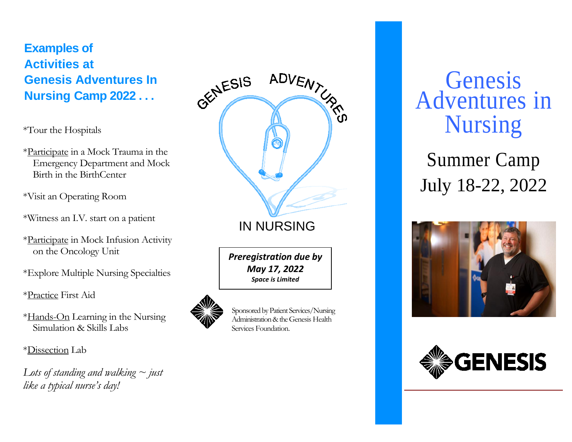**Examples of Activities at Genesis Adventures In Nursing Camp 2022 . . .**

\*Tour the Hospitals

\*Participate in a Mock Trauma in the Emergency Department and Mock Birth in the BirthCenter

\*Visit an Operating Room

\*Witness an I.V. start on a patient

\*Participate in Mock Infusion Activity on the Oncology Unit

\*Explore Multiple Nursing Specialties

\*Practice First Aid

\*Hands-On Learning in the Nursing Simulation & Skills Labs

\*Dissection Lab

*Lots of standing and walking ~ just like a typical nurse's day!*



*Preregistration due by May 17, 2022 Space is Limited*



 Sponsored by Patient Services/Nursing Administration & the Genesis Health Services Foundation.

**Genesis** Adventures in Nursing

Summer Camp July 18-22, 2022